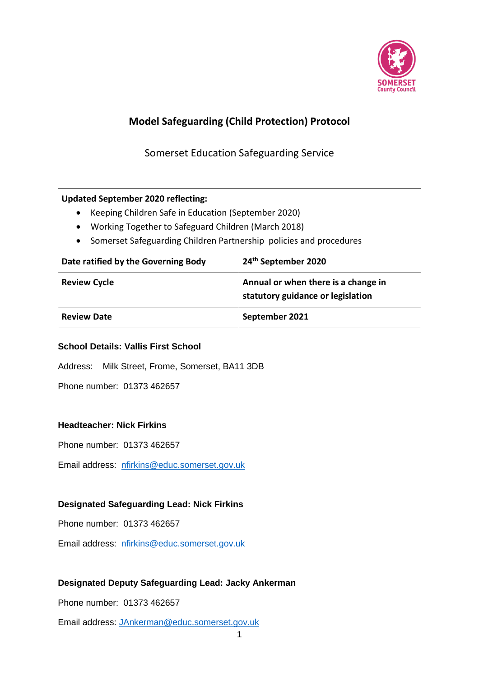

# **Model Safeguarding (Child Protection) Protocol**

Somerset Education Safeguarding Service

#### **Updated September 2020 reflecting:**

- Keeping Children Safe in Education (September 2020)
- Working Together to Safeguard Children (March 2018)
- Somerset Safeguarding Children Partnership policies and procedures

| Date ratified by the Governing Body | 24 <sup>th</sup> September 2020                                          |
|-------------------------------------|--------------------------------------------------------------------------|
| <b>Review Cycle</b>                 | Annual or when there is a change in<br>statutory guidance or legislation |
| <b>Review Date</b>                  | September 2021                                                           |

#### **School Details: Vallis First School**

Address: Milk Street, Frome, Somerset, BA11 3DB

Phone number: 01373 462657

#### **Headteacher: Nick Firkins**

Phone number: 01373 462657

Email address: [nfirkins@educ.somerset.gov.uk](mailto:NPauley@educ.somerset.gov.uk)

#### **Designated Safeguarding Lead: Nick Firkins**

Phone number: 01373 462657

Email address: [nfirkins@educ.somerset.gov.uk](mailto:NPauley@educ.somerset.gov.uk)

#### **Designated Deputy Safeguarding Lead: Jacky Ankerman**

Phone number: 01373 462657

Email address: [JAnkerman@educ.somerset.gov.uk](mailto:JAnkerman@educ.somerset.gov.uk)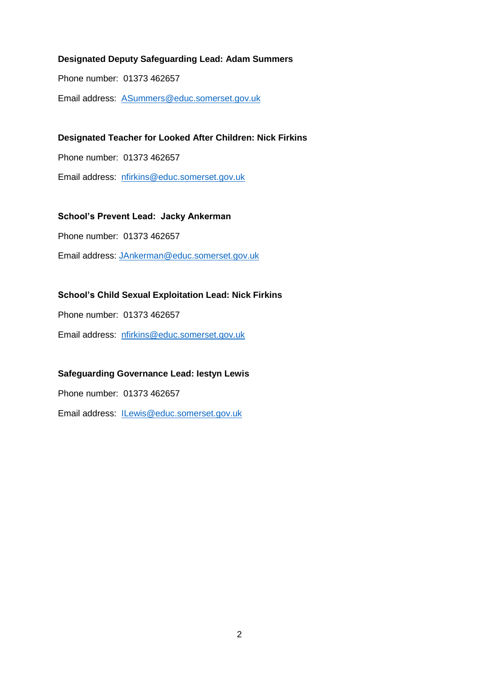#### **Designated Deputy Safeguarding Lead: Adam Summers**

Phone number: 01373 462657

Email address: [ASummers@educ.somerset.gov.uk](mailto:ASummers@educ.somerset.gov.uk)

#### **Designated Teacher for Looked After Children: Nick Firkins**

Phone number: 01373 462657

Email address: [nfirkins@educ.somerset.gov.uk](mailto:NPauley@educ.somerset.gov.uk)

#### **School's Prevent Lead: Jacky Ankerman**

Phone number: 01373 462657

Email address: [JAnkerman@educ.somerset.gov.uk](mailto:JAnkerman@educ.somerset.gov.uk)

#### **School's Child Sexual Exploitation Lead: Nick Firkins**

Phone number: 01373 462657

Email address: [nfirkins@educ.somerset.gov.uk](mailto:NPauley@educ.somerset.gov.uk)

#### **Safeguarding Governance Lead: Iestyn Lewis**

Phone number: 01373 462657

Email address: [ILewis@educ.somerset.gov.uk](mailto:ILewis@educ.somerset.gov.uk)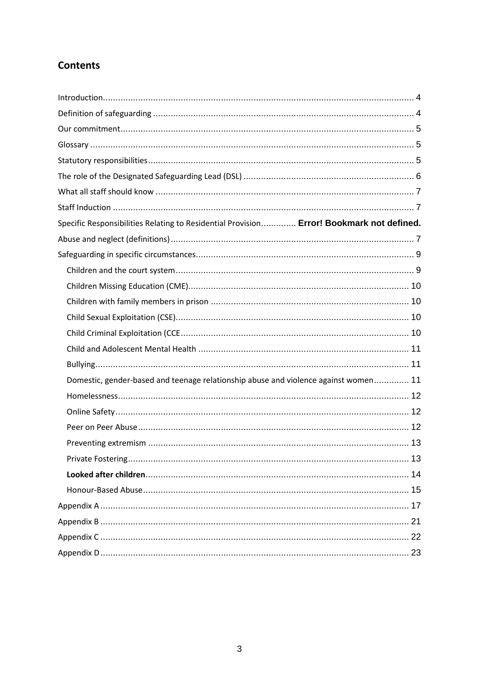# **Contents**

| Specific Responsibilities Relating to Residential Provision Error! Bookmark not defined. |  |
|------------------------------------------------------------------------------------------|--|
|                                                                                          |  |
|                                                                                          |  |
|                                                                                          |  |
|                                                                                          |  |
|                                                                                          |  |
|                                                                                          |  |
|                                                                                          |  |
|                                                                                          |  |
|                                                                                          |  |
| Domestic, gender-based and teenage relationship abuse and violence against women 11      |  |
|                                                                                          |  |
|                                                                                          |  |
|                                                                                          |  |
|                                                                                          |  |
|                                                                                          |  |
|                                                                                          |  |
|                                                                                          |  |
|                                                                                          |  |
|                                                                                          |  |
|                                                                                          |  |
|                                                                                          |  |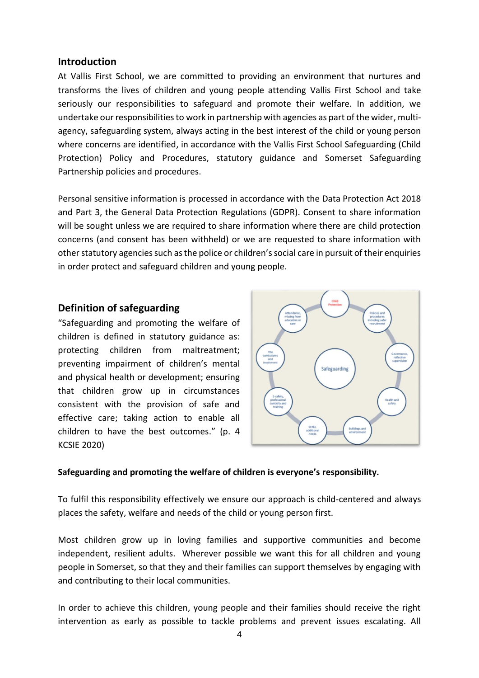#### <span id="page-3-0"></span>**Introduction**

At Vallis First School, we are committed to providing an environment that nurtures and transforms the lives of children and young people attending Vallis First School and take seriously our responsibilities to safeguard and promote their welfare. In addition, we undertake our responsibilities to work in partnership with agencies as part of the wider, multiagency, safeguarding system, always acting in the best interest of the child or young person where concerns are identified, in accordance with the Vallis First School Safeguarding (Child Protection) Policy and Procedures, statutory guidance and Somerset Safeguarding Partnership policies and procedures.

Personal sensitive information is processed in accordance with the Data Protection Act 2018 and Part 3, the General Data Protection Regulations (GDPR). Consent to share information will be sought unless we are required to share information where there are child protection concerns (and consent has been withheld) or we are requested to share information with other statutory agencies such as the police or children's social care in pursuit of their enquiries in order protect and safeguard children and young people.

#### <span id="page-3-1"></span>**Definition of safeguarding**

"Safeguarding and promoting the welfare of children is defined in statutory guidance as: protecting children from maltreatment; preventing impairment of children's mental and physical health or development; ensuring that children grow up in circumstances consistent with the provision of safe and effective care; taking action to enable all children to have the best outcomes." (p. 4 KCSIE 2020)



#### **Safeguarding and promoting the welfare of children is everyone's responsibility.**

To fulfil this responsibility effectively we ensure our approach is child-centered and always places the safety, welfare and needs of the child or young person first.

Most children grow up in loving families and supportive communities and become independent, resilient adults. Wherever possible we want this for all children and young people in Somerset, so that they and their families can support themselves by engaging with and contributing to their local communities.

In order to achieve this children, young people and their families should receive the right intervention as early as possible to tackle problems and prevent issues escalating. All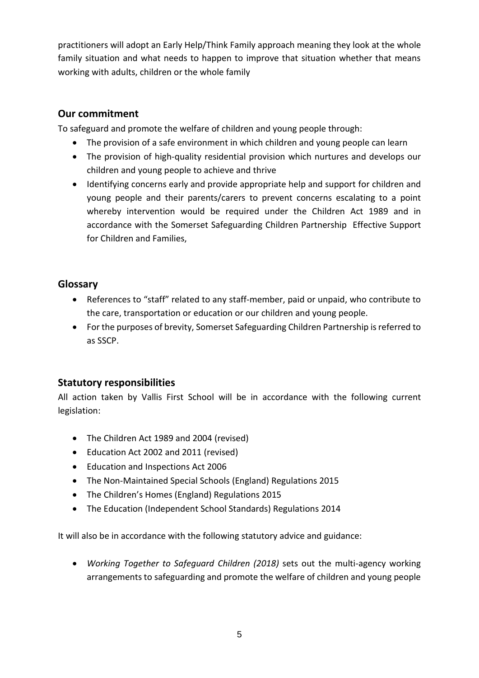practitioners will adopt an Early Help/Think Family approach meaning they look at the whole family situation and what needs to happen to improve that situation whether that means working with adults, children or the whole family

## <span id="page-4-0"></span>**Our commitment**

To safeguard and promote the welfare of children and young people through:

- The provision of a safe environment in which children and young people can learn
- The provision of high-quality residential provision which nurtures and develops our children and young people to achieve and thrive
- Identifying concerns early and provide appropriate help and support for children and young people and their parents/carers to prevent concerns escalating to a point whereby intervention would be required under the Children Act 1989 and in accordance with the Somerset Safeguarding Children Partnership Effective Support for Children and Families,

## <span id="page-4-1"></span>**Glossary**

- References to "staff" related to any staff-member, paid or unpaid, who contribute to the care, transportation or education or our children and young people.
- For the purposes of brevity, Somerset Safeguarding Children Partnership is referred to as SSCP.

## <span id="page-4-2"></span>**Statutory responsibilities**

All action taken by Vallis First School will be in accordance with the following current legislation:

- The Children Act 1989 and 2004 (revised)
- Education Act 2002 and 2011 (revised)
- Education and Inspections Act 2006
- The Non-Maintained Special Schools (England) Regulations 2015
- The Children's Homes (England) Regulations 2015
- The Education (Independent School Standards) Regulations 2014

It will also be in accordance with the following statutory advice and guidance:

 *Working Together to Safeguard Children (2018)* sets out the multi-agency working arrangements to safeguarding and promote the welfare of children and young people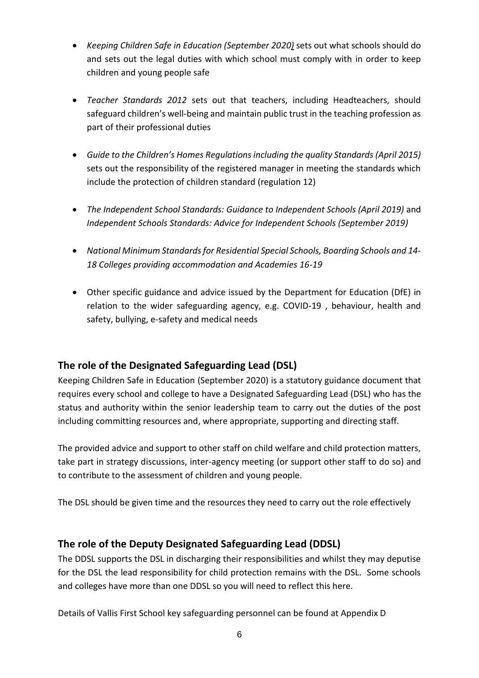- *Keeping Children Safe in Education (September 2020)* sets out what schools should do and sets out the legal duties with which school must comply with in order to keep children and young people safe
- *Teacher Standards 2012* sets out that teachers, including Headteachers, should safeguard children's well-being and maintain public trust in the teaching profession as part of their professional duties
- *Guide to the Children's Homes Regulations including the quality Standards (April 2015)* sets out the responsibility of the registered manager in meeting the standards which include the protection of children standard (regulation 12)
- *The Independent School Standards: Guidance to Independent Schools (April 2019)* and *Independent Schools Standards: Advice for Independent Schools (September 2019)*
- *National Minimum Standards for Residential Special Schools, Boarding Schools and 14- 18 Colleges providing accommodation and Academies 16-19*
- Other specific guidance and advice issued by the Department for Education (DfE) in relation to the wider safeguarding agency, e.g. COVID-19 , behaviour, health and safety, bullying, e-safety and medical needs

## <span id="page-5-0"></span>**The role of the Designated Safeguarding Lead (DSL)**

Keeping Children Safe in Education (September 2020) is a statutory guidance document that requires every school and college to have a Designated Safeguarding Lead (DSL) who has the status and authority within the senior leadership team to carry out the duties of the post including committing resources and, where appropriate, supporting and directing staff.

The provided advice and support to other staff on child welfare and child protection matters, take part in strategy discussions, inter-agency meeting (or support other staff to do so) and to contribute to the assessment of children and young people.

The DSL should be given time and the resources they need to carry out the role effectively

## **The role of the Deputy Designated Safeguarding Lead (DDSL)**

The DDSL supports the DSL in discharging their responsibilities and whilst they may deputise for the DSL the lead responsibility for child protection remains with the DSL. Some schools and colleges have more than one DDSL so you will need to reflect this here.

Details of Vallis First School key safeguarding personnel can be found at Appendix D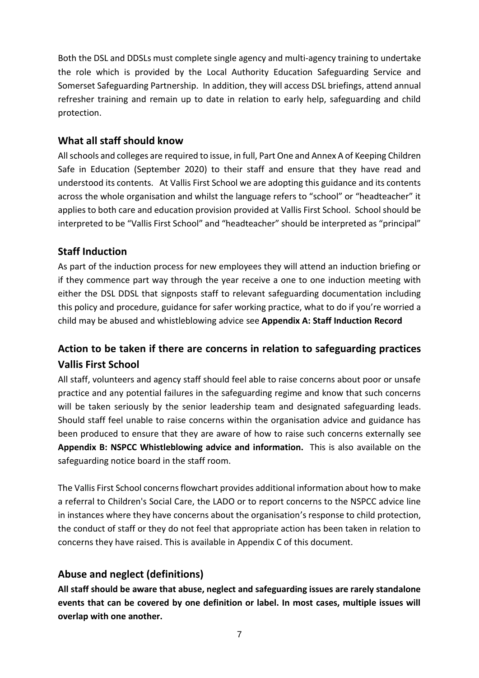Both the DSL and DDSLs must complete single agency and multi-agency training to undertake the role which is provided by the Local Authority Education Safeguarding Service and Somerset Safeguarding Partnership. In addition, they will access DSL briefings, attend annual refresher training and remain up to date in relation to early help, safeguarding and child protection.

## <span id="page-6-0"></span>**What all staff should know**

All schools and colleges are required to issue, in full, Part One and Annex A of Keeping Children Safe in Education (September 2020) to their staff and ensure that they have read and understood its contents. At Vallis First School we are adopting this guidance and its contents across the whole organisation and whilst the language refers to "school" or "headteacher" it applies to both care and education provision provided at Vallis First School. School should be interpreted to be "Vallis First School" and "headteacher" should be interpreted as "principal"

## <span id="page-6-1"></span>**Staff Induction**

As part of the induction process for new employees they will attend an induction briefing or if they commence part way through the year receive a one to one induction meeting with either the DSL DDSL that signposts staff to relevant safeguarding documentation including this policy and procedure, guidance for safer working practice, what to do if you're worried a child may be abused and whistleblowing advice see **Appendix A: Staff Induction Record**

# **Action to be taken if there are concerns in relation to safeguarding practices Vallis First School**

All staff, volunteers and agency staff should feel able to raise concerns about poor or unsafe practice and any potential failures in the safeguarding regime and know that such concerns will be taken seriously by the senior leadership team and designated safeguarding leads. Should staff feel unable to raise concerns within the organisation advice and guidance has been produced to ensure that they are aware of how to raise such concerns externally see **Appendix B: NSPCC Whistleblowing advice and information.** This is also available on the safeguarding notice board in the staff room.

The Vallis First School concerns flowchart provides additional information about how to make a referral to Children's Social Care, the LADO or to report concerns to the NSPCC advice line in instances where they have concerns about the organisation's response to child protection, the conduct of staff or they do not feel that appropriate action has been taken in relation to concerns they have raised. This is available in Appendix C of this document.

## <span id="page-6-2"></span>**Abuse and neglect (definitions)**

**All staff should be aware that abuse, neglect and safeguarding issues are rarely standalone events that can be covered by one definition or label. In most cases, multiple issues will overlap with one another.**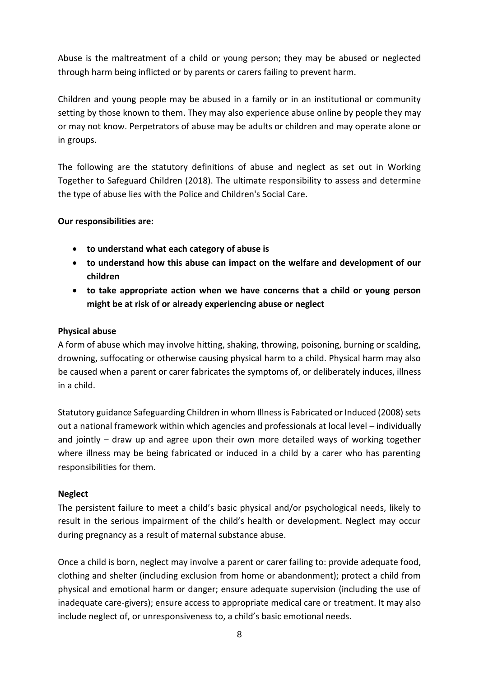Abuse is the maltreatment of a child or young person; they may be abused or neglected through harm being inflicted or by parents or carers failing to prevent harm.

Children and young people may be abused in a family or in an institutional or community setting by those known to them. They may also experience abuse online by people they may or may not know. Perpetrators of abuse may be adults or children and may operate alone or in groups.

The following are the statutory definitions of abuse and neglect as set out in Working Together to Safeguard Children (2018). The ultimate responsibility to assess and determine the type of abuse lies with the Police and Children's Social Care.

#### **Our responsibilities are:**

- **to understand what each category of abuse is**
- **to understand how this abuse can impact on the welfare and development of our children**
- **to take appropriate action when we have concerns that a child or young person might be at risk of or already experiencing abuse or neglect**

#### **Physical abuse**

A form of abuse which may involve hitting, shaking, throwing, poisoning, burning or scalding, drowning, suffocating or otherwise causing physical harm to a child. Physical harm may also be caused when a parent or carer fabricates the symptoms of, or deliberately induces, illness in a child.

Statutory guidance Safeguarding Children in whom Illness is Fabricated or Induced (2008) sets out a national framework within which agencies and professionals at local level – individually and jointly – draw up and agree upon their own more detailed ways of working together where illness may be being fabricated or induced in a child by a carer who has parenting responsibilities for them.

#### **Neglect**

The persistent failure to meet a child's basic physical and/or psychological needs, likely to result in the serious impairment of the child's health or development. Neglect may occur during pregnancy as a result of maternal substance abuse.

Once a child is born, neglect may involve a parent or carer failing to: provide adequate food, clothing and shelter (including exclusion from home or abandonment); protect a child from physical and emotional harm or danger; ensure adequate supervision (including the use of inadequate care-givers); ensure access to appropriate medical care or treatment. It may also include neglect of, or unresponsiveness to, a child's basic emotional needs.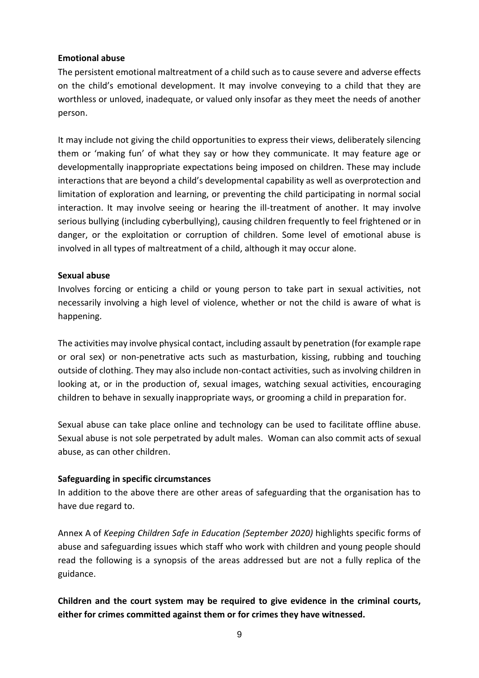#### **Emotional abuse**

The persistent emotional maltreatment of a child such as to cause severe and adverse effects on the child's emotional development. It may involve conveying to a child that they are worthless or unloved, inadequate, or valued only insofar as they meet the needs of another person.

It may include not giving the child opportunities to express their views, deliberately silencing them or 'making fun' of what they say or how they communicate. It may feature age or developmentally inappropriate expectations being imposed on children. These may include interactions that are beyond a child's developmental capability as well as overprotection and limitation of exploration and learning, or preventing the child participating in normal social interaction. It may involve seeing or hearing the ill-treatment of another. It may involve serious bullying (including cyberbullying), causing children frequently to feel frightened or in danger, or the exploitation or corruption of children. Some level of emotional abuse is involved in all types of maltreatment of a child, although it may occur alone.

#### **Sexual abuse**

Involves forcing or enticing a child or young person to take part in sexual activities, not necessarily involving a high level of violence, whether or not the child is aware of what is happening.

The activities may involve physical contact, including assault by penetration (for example rape or oral sex) or non-penetrative acts such as masturbation, kissing, rubbing and touching outside of clothing. They may also include non-contact activities, such as involving children in looking at, or in the production of, sexual images, watching sexual activities, encouraging children to behave in sexually inappropriate ways, or grooming a child in preparation for.

Sexual abuse can take place online and technology can be used to facilitate offline abuse. Sexual abuse is not sole perpetrated by adult males. Woman can also commit acts of sexual abuse, as can other children.

#### <span id="page-8-0"></span>**Safeguarding in specific circumstances**

In addition to the above there are other areas of safeguarding that the organisation has to have due regard to.

Annex A of *Keeping Children Safe in Education (September 2020)* highlights specific forms of abuse and safeguarding issues which staff who work with children and young people should read the following is a synopsis of the areas addressed but are not a fully replica of the guidance.

<span id="page-8-1"></span>**Children and the court system may be required to give evidence in the criminal courts, either for crimes committed against them or for crimes they have witnessed.**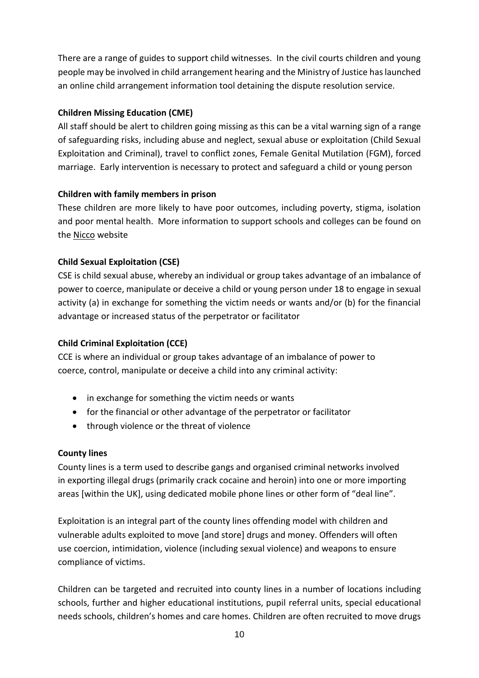There are a range of guides to support child witnesses. In the civil courts children and young people may be involved in child arrangement hearing and the Ministry of Justice has launched an online child arrangement information tool detaining the dispute resolution service.

#### <span id="page-9-0"></span>**Children Missing Education (CME)**

All staff should be alert to children going missing as this can be a vital warning sign of a range of safeguarding risks, including abuse and neglect, sexual abuse or exploitation (Child Sexual Exploitation and Criminal), travel to conflict zones, Female Genital Mutilation (FGM), forced marriage. Early intervention is necessary to protect and safeguard a child or young person

#### <span id="page-9-1"></span>**Children with family members in prison**

These children are more likely to have poor outcomes, including poverty, stigma, isolation and poor mental health. More information to support schools and colleges can be found on the [Nicco](https://www.nicco.org.uk/) website

#### <span id="page-9-2"></span>**Child Sexual Exploitation (CSE)**

CSE is child sexual abuse, whereby an individual or group takes advantage of an imbalance of power to coerce, manipulate or deceive a child or young person under 18 to engage in sexual activity (a) in exchange for something the victim needs or wants and/or (b) for the financial advantage or increased status of the perpetrator or facilitator

#### <span id="page-9-3"></span>**Child Criminal Exploitation (CCE)**

CCE is where an individual or group takes advantage of an imbalance of power to coerce, control, manipulate or deceive a child into any criminal activity:

- in exchange for something the victim needs or wants
- for the financial or other advantage of the perpetrator or facilitator
- through violence or the threat of violence

#### **County lines**

County lines is a term used to describe gangs and organised criminal networks involved in exporting illegal drugs (primarily crack cocaine and heroin) into one or more importing areas [within the UK], using dedicated mobile phone lines or other form of "deal line".

Exploitation is an integral part of the county lines offending model with children and vulnerable adults exploited to move [and store] drugs and money. Offenders will often use coercion, intimidation, violence (including sexual violence) and weapons to ensure compliance of victims.

Children can be targeted and recruited into county lines in a number of locations including schools, further and higher educational institutions, pupil referral units, special educational needs schools, children's homes and care homes. Children are often recruited to move drugs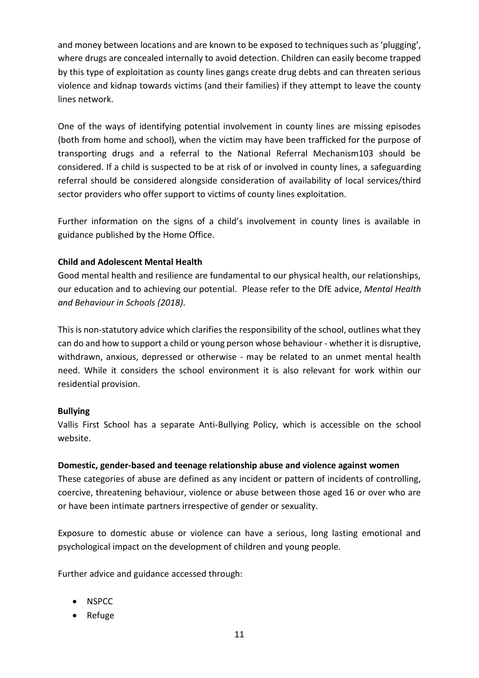and money between locations and are known to be exposed to techniques such as 'plugging', where drugs are concealed internally to avoid detection. Children can easily become trapped by this type of exploitation as county lines gangs create drug debts and can threaten serious violence and kidnap towards victims (and their families) if they attempt to leave the county lines network.

One of the ways of identifying potential involvement in county lines are missing episodes (both from home and school), when the victim may have been trafficked for the purpose of transporting drugs and a referral to the National Referral Mechanism103 should be considered. If a child is suspected to be at risk of or involved in county lines, a safeguarding referral should be considered alongside consideration of availability of local services/third sector providers who offer support to victims of county lines exploitation.

Further information on the signs of a child's involvement in county lines is available in guidance published by the Home Office.

#### <span id="page-10-0"></span>**Child and Adolescent Mental Health**

Good mental health and resilience are fundamental to our physical health, our relationships, our education and to achieving our potential. Please refer to the DfE advice, *Mental Health and Behaviour in Schools (2018)*.

This is non-statutory advice which clarifies the responsibility of the school, outlines what they can do and how to support a child or young person whose behaviour - whether it is disruptive, withdrawn, anxious, depressed or otherwise - may be related to an unmet mental health need. While it considers the school environment it is also relevant for work within our residential provision.

#### <span id="page-10-1"></span>**Bullying**

Vallis First School has a separate Anti-Bullying Policy, which is accessible on the school website.

#### <span id="page-10-2"></span>**Domestic, gender-based and teenage relationship abuse and violence against women**

These categories of abuse are defined as any incident or pattern of incidents of controlling, coercive, threatening behaviour, violence or abuse between those aged 16 or over who are or have been intimate partners irrespective of gender or sexuality.

Exposure to domestic abuse or violence can have a serious, long lasting emotional and psychological impact on the development of children and young people.

Further advice and guidance accessed through:

- NSPCC
- Refuge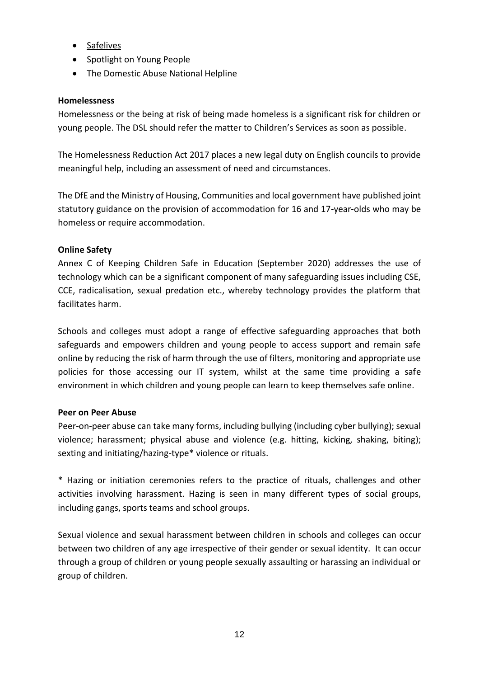- [Safelives](http://www.safelives.org.uk/knowledge-hub/spotlights/spotlight-3-young-people-and-domestic-abuse)
- Spotlight on Young People
- The Domestic Abuse National Helpline

#### <span id="page-11-0"></span>**Homelessness**

Homelessness or the being at risk of being made homeless is a significant risk for children or young people. The DSL should refer the matter to Children's Services as soon as possible.

The Homelessness Reduction Act 2017 places a new legal duty on English councils to provide meaningful help, including an assessment of need and circumstances.

The DfE and the Ministry of Housing, Communities and local government have published joint statutory guidance on the provision of accommodation for 16 and 17-year-olds who may be homeless or require accommodation.

#### <span id="page-11-1"></span>**Online Safety**

Annex C of Keeping Children Safe in Education (September 2020) addresses the use of technology which can be a significant component of many safeguarding issues including CSE, CCE, radicalisation, sexual predation etc., whereby technology provides the platform that facilitates harm.

Schools and colleges must adopt a range of effective safeguarding approaches that both safeguards and empowers children and young people to access support and remain safe online by reducing the risk of harm through the use of filters, monitoring and appropriate use policies for those accessing our IT system, whilst at the same time providing a safe environment in which children and young people can learn to keep themselves safe online.

#### <span id="page-11-2"></span>**Peer on Peer Abuse**

Peer-on-peer abuse can take many forms, including bullying (including cyber bullying); sexual violence; harassment; physical abuse and violence (e.g. hitting, kicking, shaking, biting); sexting and initiating/hazing-type\* violence or rituals.

\* Hazing or initiation ceremonies refers to the practice of rituals, challenges and other activities involving harassment. Hazing is seen in many different types of social groups, including gangs, sports teams and school groups.

Sexual violence and sexual harassment between children in schools and colleges can occur between two children of any age irrespective of their gender or sexual identity. It can occur through a group of children or young people sexually assaulting or harassing an individual or group of children.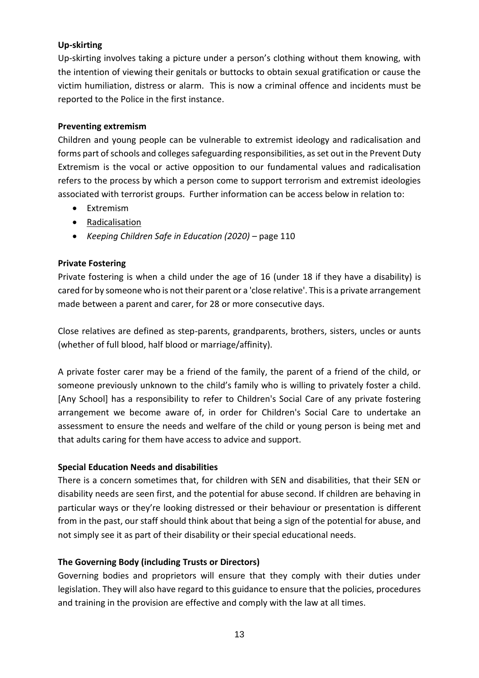#### **Up-skirting**

Up-skirting involves taking a picture under a person's clothing without them knowing, with the intention of viewing their genitals or buttocks to obtain sexual gratification or cause the victim humiliation, distress or alarm. This is now a criminal offence and incidents must be reported to the Police in the first instance.

#### <span id="page-12-0"></span>**Preventing extremism**

Children and young people can be vulnerable to extremist ideology and radicalisation and forms part of schools and colleges safeguarding responsibilities, as set out in the Prevent Duty Extremism is the vocal or active opposition to our fundamental values and radicalisation refers to the process by which a person come to support terrorism and extremist ideologies associated with terrorist groups. Further information can be access below in relation to:

- Extremism
- [Radicalisation](https://assets.publishing.service.gov.uk/government/uploads/system/uploads/attachment_data/file/445977/3799_Revised_Prevent_Duty_Guidance__England_Wales_V2-Interactive.pdf)
- *Keeping Children Safe in Education (2020)* page 110

#### <span id="page-12-1"></span>**Private Fostering**

Private fostering is when a child under the age of 16 (under 18 if they have a disability) is cared for by someone who is not their parent or a 'close relative'. This is a private arrangement made between a parent and carer, for 28 or more consecutive days.

Close relatives are defined as step-parents, grandparents, brothers, sisters, uncles or aunts (whether of full blood, half blood or marriage/affinity).

A private foster carer may be a friend of the family, the parent of a friend of the child, or someone previously unknown to the child's family who is willing to privately foster a child. [Any School] has a responsibility to refer to Children's Social Care of any private fostering arrangement we become aware of, in order for Children's Social Care to undertake an assessment to ensure the needs and welfare of the child or young person is being met and that adults caring for them have access to advice and support.

#### **Special Education Needs and disabilities**

There is a concern sometimes that, for children with SEN and disabilities, that their SEN or disability needs are seen first, and the potential for abuse second. If children are behaving in particular ways or they're looking distressed or their behaviour or presentation is different from in the past, our staff should think about that being a sign of the potential for abuse, and not simply see it as part of their disability or their special educational needs.

#### **The Governing Body (including Trusts or Directors)**

Governing bodies and proprietors will ensure that they comply with their duties under legislation. They will also have regard to this guidance to ensure that the policies, procedures and training in the provision are effective and comply with the law at all times.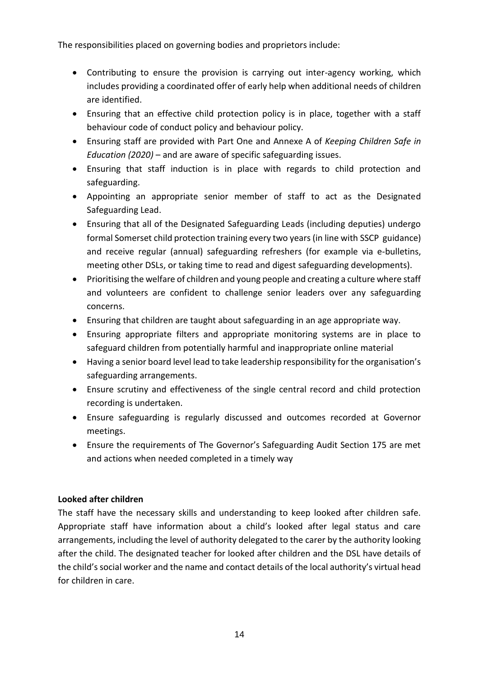The responsibilities placed on governing bodies and proprietors include:

- Contributing to ensure the provision is carrying out inter-agency working, which includes providing a coordinated offer of early help when additional needs of children are identified.
- Ensuring that an effective child protection policy is in place, together with a staff behaviour code of conduct policy and behaviour policy.
- Ensuring staff are provided with Part One and Annexe A of *Keeping Children Safe in Education (2020)* – and are aware of specific safeguarding issues.
- Ensuring that staff induction is in place with regards to child protection and safeguarding.
- Appointing an appropriate senior member of staff to act as the Designated Safeguarding Lead.
- Ensuring that all of the Designated Safeguarding Leads (including deputies) undergo formal Somerset child protection training every two years (in line with SSCP guidance) and receive regular (annual) safeguarding refreshers (for example via e-bulletins, meeting other DSLs, or taking time to read and digest safeguarding developments).
- Prioritising the welfare of children and young people and creating a culture where staff and volunteers are confident to challenge senior leaders over any safeguarding concerns.
- Ensuring that children are taught about safeguarding in an age appropriate way.
- Ensuring appropriate filters and appropriate monitoring systems are in place to safeguard children from potentially harmful and inappropriate online material
- Having a senior board level lead to take leadership responsibility for the organisation's safeguarding arrangements.
- Ensure scrutiny and effectiveness of the single central record and child protection recording is undertaken.
- Ensure safeguarding is regularly discussed and outcomes recorded at Governor meetings.
- Ensure the requirements of The Governor's Safeguarding Audit Section 175 are met and actions when needed completed in a timely way

#### <span id="page-13-0"></span>**Looked after children**

<span id="page-13-1"></span>The staff have the necessary skills and understanding to keep looked after children safe. Appropriate staff have information about a child's looked after legal status and care arrangements, including the level of authority delegated to the carer by the authority looking after the child. The designated teacher for looked after children and the DSL have details of the child's social worker and the name and contact details of the local authority's virtual head for children in care.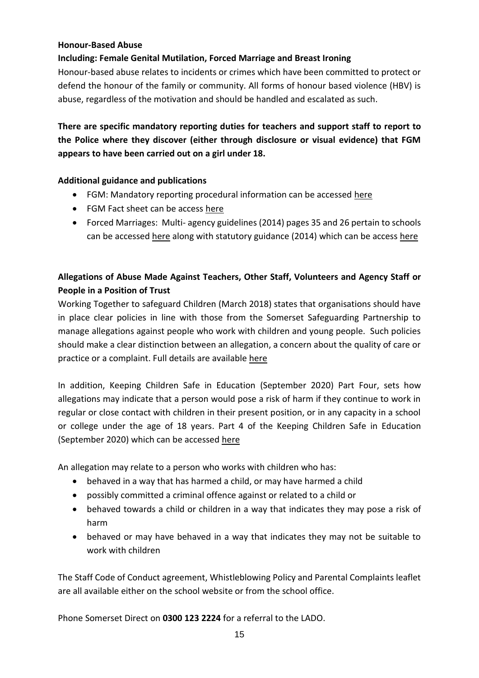#### **Honour-Based Abuse**

#### **Including: Female Genital Mutilation, Forced Marriage and Breast Ironing**

Honour-based abuse relates to incidents or crimes which have been committed to protect or defend the honour of the family or community. All forms of honour based violence (HBV) is abuse, regardless of the motivation and should be handled and escalated as such.

## **There are specific mandatory reporting duties for teachers and support staff to report to the Police where they discover (either through disclosure or visual evidence) that FGM appears to have been carried out on a girl under 18.**

#### **Additional guidance and publications**

- FGM: Mandatory reporting procedural information can be accessed [here](https://assets.publishing.service.gov.uk/government/uploads/system/uploads/attachment_data/file/573782/FGM_Mandatory_Reporting_-_procedural_information_nov16_FINAL.pdf)
- FGM Fact sheet can be access [here](https://assets.publishing.service.gov.uk/government/uploads/system/uploads/attachment_data/file/496415/6_1639_HO_SP_FGM_mandatory_reporting_Fact_sheet_Web.pdf)
- Forced Marriages: Multi- agency guidelines (2014) pages 35 and 26 pertain to schools can be accessed [here](https://assets.publishing.service.gov.uk/government/uploads/system/uploads/attachment_data/file/322307/HMG_MULTI_AGENCY_PRACTICE_GUIDELINES_v1_180614_FINAL.pdf) along with statutory guidance (2014) which can be access [here](https://assets.publishing.service.gov.uk/government/uploads/system/uploads/attachment_data/file/322310/HMG_Statutory_Guidance_publication_180614_Final.pdf)

## **Allegations of Abuse Made Against Teachers, Other Staff, Volunteers and Agency Staff or People in a Position of Trust**

Working Together to safeguard Children (March 2018) states that organisations should have in place clear policies in line with those from the Somerset Safeguarding Partnership to manage allegations against people who work with children and young people. Such policies should make a clear distinction between an allegation, a concern about the quality of care or practice or a complaint. Full details are availabl[e here](https://assets.publishing.service.gov.uk/government/uploads/system/uploads/attachment_data/file/779401/Working_Together_to_Safeguard-Children.pdf)

In addition, Keeping Children Safe in Education (September 2020) Part Four, sets how allegations may indicate that a person would pose a risk of harm if they continue to work in regular or close contact with children in their present position, or in any capacity in a school or college under the age of 18 years. Part 4 of the Keeping Children Safe in Education (September 2020) which can be accessed [here](https://assets.publishing.service.gov.uk/government/uploads/system/uploads/attachment_data/file/811513/DRAFT_Keeping_children_safe_in_education_2019.pdf)

An allegation may relate to a person who works with children who has:

- behaved in a way that has harmed a child, or may have harmed a child
- possibly committed a criminal offence against or related to a child or
- behaved towards a child or children in a way that indicates they may pose a risk of harm
- behaved or may have behaved in a way that indicates they may not be suitable to work with children

The Staff Code of Conduct agreement, Whistleblowing Policy and Parental Complaints leaflet are all available either on the school website or from the school office.

Phone Somerset Direct on **0300 123 2224** for a referral to the LADO.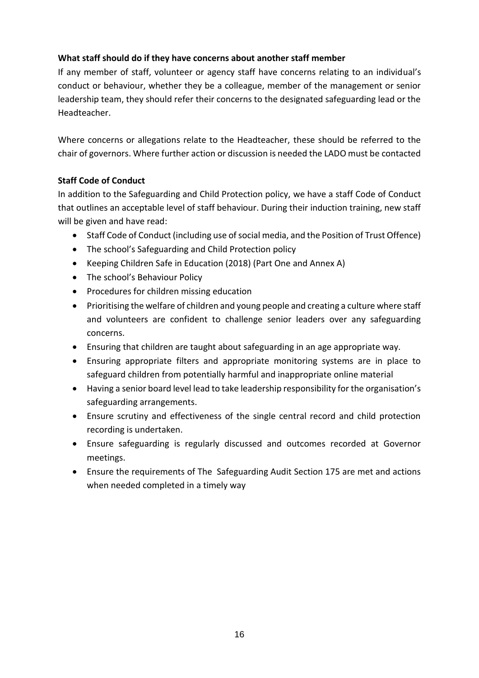#### **What staff should do if they have concerns about another staff member**

If any member of staff, volunteer or agency staff have concerns relating to an individual's conduct or behaviour, whether they be a colleague, member of the management or senior leadership team, they should refer their concerns to the designated safeguarding lead or the Headteacher.

Where concerns or allegations relate to the Headteacher, these should be referred to the chair of governors. Where further action or discussion is needed the LADO must be contacted

#### **Staff Code of Conduct**

In addition to the Safeguarding and Child Protection policy, we have a staff Code of Conduct that outlines an acceptable level of staff behaviour. During their induction training, new staff will be given and have read:

- Staff Code of Conduct (including use of social media, and the Position of Trust Offence)
- The school's Safeguarding and Child Protection policy
- Keeping Children Safe in Education (2018) (Part One and Annex A)
- The school's Behaviour Policy
- Procedures for children missing education
- Prioritising the welfare of children and young people and creating a culture where staff and volunteers are confident to challenge senior leaders over any safeguarding concerns.
- Ensuring that children are taught about safeguarding in an age appropriate way.
- Ensuring appropriate filters and appropriate monitoring systems are in place to safeguard children from potentially harmful and inappropriate online material
- Having a senior board level lead to take leadership responsibility for the organisation's safeguarding arrangements.
- Ensure scrutiny and effectiveness of the single central record and child protection recording is undertaken.
- Ensure safeguarding is regularly discussed and outcomes recorded at Governor meetings.
- Ensure the requirements of The Safeguarding Audit Section 175 are met and actions when needed completed in a timely way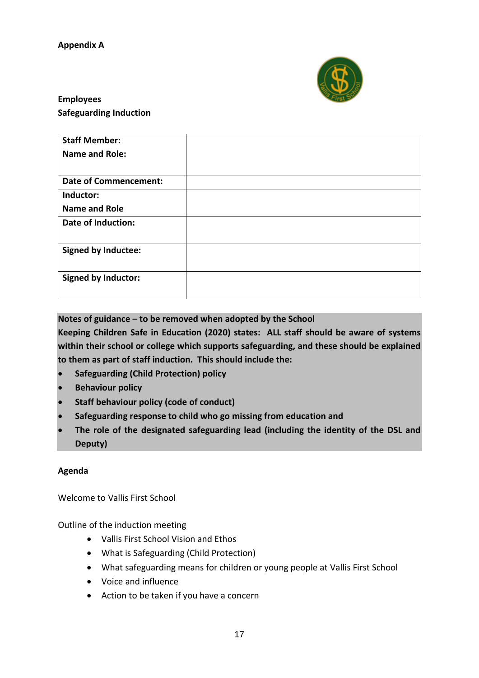

## <span id="page-16-0"></span>**Employees Safeguarding Induction**

| <b>Staff Member:</b>         |  |
|------------------------------|--|
| <b>Name and Role:</b>        |  |
|                              |  |
| <b>Date of Commencement:</b> |  |
| Inductor:                    |  |
| <b>Name and Role</b>         |  |
| <b>Date of Induction:</b>    |  |
|                              |  |
| <b>Signed by Inductee:</b>   |  |
|                              |  |
| <b>Signed by Inductor:</b>   |  |
|                              |  |

#### **Notes of guidance – to be removed when adopted by the School**

**Keeping Children Safe in Education (2020) states: ALL staff should be aware of systems within their school or college which supports safeguarding, and these should be explained to them as part of staff induction. This should include the:**

- **Safeguarding (Child Protection) policy**
- **Behaviour policy**
- **Staff behaviour policy (code of conduct)**
- **Safeguarding response to child who go missing from education and**
- **The role of the designated safeguarding lead (including the identity of the DSL and Deputy)**

#### **Agenda**

Welcome to Vallis First School

Outline of the induction meeting

- Vallis First School Vision and Ethos
- What is Safeguarding (Child Protection)
- What safeguarding means for children or young people at Vallis First School
- Voice and influence
- Action to be taken if you have a concern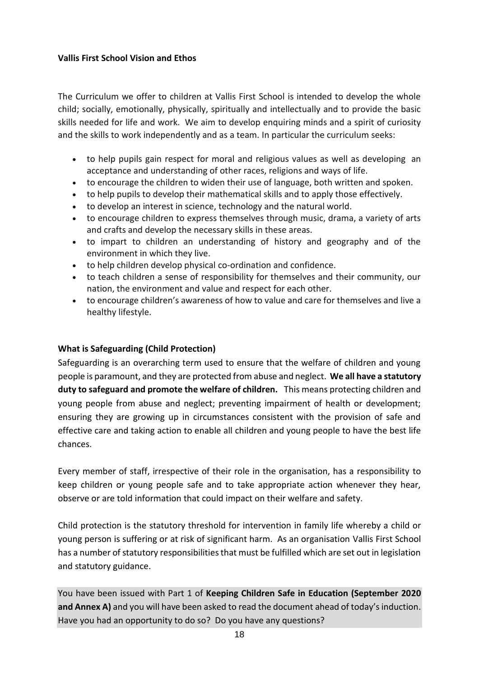#### **Vallis First School Vision and Ethos**

The Curriculum we offer to children at Vallis First School is intended to develop the whole child; socially, emotionally, physically, spiritually and intellectually and to provide the basic skills needed for life and work. We aim to develop enquiring minds and a spirit of curiosity and the skills to work independently and as a team. In particular the curriculum seeks:

- to help pupils gain respect for moral and religious values as well as developing an acceptance and understanding of other races, religions and ways of life.
- to encourage the children to widen their use of language, both written and spoken.
- to help pupils to develop their mathematical skills and to apply those effectively.
- to develop an interest in science, technology and the natural world.
- to encourage children to express themselves through music, drama, a variety of arts and crafts and develop the necessary skills in these areas.
- to impart to children an understanding of history and geography and of the environment in which they live.
- to help children develop physical co-ordination and confidence.
- to teach children a sense of responsibility for themselves and their community, our nation, the environment and value and respect for each other.
- to encourage children's awareness of how to value and care for themselves and live a healthy lifestyle.

#### **What is Safeguarding (Child Protection)**

Safeguarding is an overarching term used to ensure that the welfare of children and young people is paramount, and they are protected from abuse and neglect. **We all have a statutory duty to safeguard and promote the welfare of children.** This means protecting children and young people from abuse and neglect; preventing impairment of health or development; ensuring they are growing up in circumstances consistent with the provision of safe and effective care and taking action to enable all children and young people to have the best life chances.

Every member of staff, irrespective of their role in the organisation, has a responsibility to keep children or young people safe and to take appropriate action whenever they hear, observe or are told information that could impact on their welfare and safety.

Child protection is the statutory threshold for intervention in family life whereby a child or young person is suffering or at risk of significant harm. As an organisation Vallis First School has a number of statutory responsibilities that must be fulfilled which are set out in legislation and statutory guidance.

You have been issued with Part 1 of **Keeping Children Safe in Education (September 2020 and Annex A)** and you will have been asked to read the document ahead of today's induction. Have you had an opportunity to do so? Do you have any questions?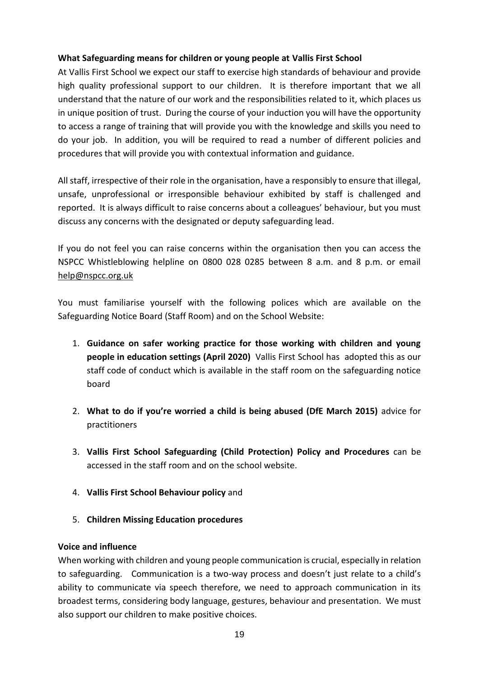#### **What Safeguarding means for children or young people at Vallis First School**

At Vallis First School we expect our staff to exercise high standards of behaviour and provide high quality professional support to our children. It is therefore important that we all understand that the nature of our work and the responsibilities related to it, which places us in unique position of trust. During the course of your induction you will have the opportunity to access a range of training that will provide you with the knowledge and skills you need to do your job. In addition, you will be required to read a number of different policies and procedures that will provide you with contextual information and guidance.

All staff, irrespective of their role in the organisation, have a responsibly to ensure that illegal, unsafe, unprofessional or irresponsible behaviour exhibited by staff is challenged and reported. It is always difficult to raise concerns about a colleagues' behaviour, but you must discuss any concerns with the designated or deputy safeguarding lead.

If you do not feel you can raise concerns within the organisation then you can access the NSPCC Whistleblowing helpline on 0800 028 0285 between 8 a.m. and 8 p.m. or email [help@nspcc.org.uk](mailto:help@nspcc.org.uk) 

You must familiarise yourself with the following polices which are available on the Safeguarding Notice Board (Staff Room) and on the School Website:

- 1. **Guidance on safer working practice for those working with children and young people in education settings (April 2020)** Vallis First School has adopted this as our staff code of conduct which is available in the staff room on the safeguarding notice board
- 2. **What to do if you're worried a child is being abused (DfE March 2015)** advice for practitioners
- 3. **Vallis First School Safeguarding (Child Protection) Policy and Procedures** can be accessed in the staff room and on the school website.
- 4. **Vallis First School Behaviour policy** and
- 5. **Children Missing Education procedures**

#### **Voice and influence**

When working with children and young people communication is crucial, especially in relation to safeguarding. Communication is a two-way process and doesn't just relate to a child's ability to communicate via speech therefore, we need to approach communication in its broadest terms, considering body language, gestures, behaviour and presentation. We must also support our children to make positive choices.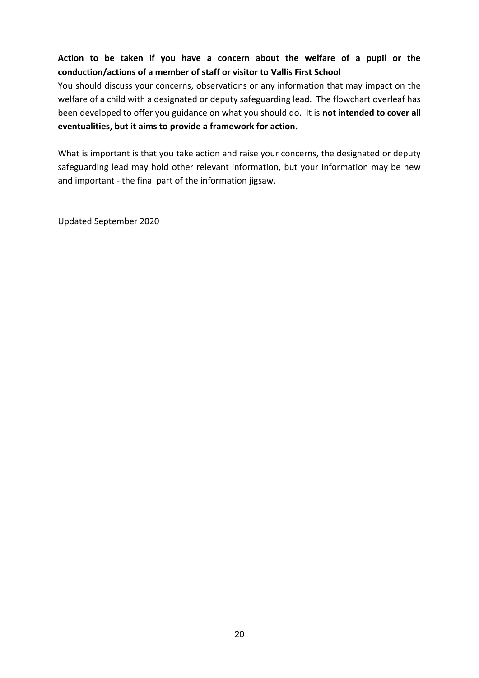## **Action to be taken if you have a concern about the welfare of a pupil or the conduction/actions of a member of staff or visitor to Vallis First School**

You should discuss your concerns, observations or any information that may impact on the welfare of a child with a designated or deputy safeguarding lead. The flowchart overleaf has been developed to offer you guidance on what you should do. It is **not intended to cover all eventualities, but it aims to provide a framework for action.**

What is important is that you take action and raise your concerns, the designated or deputy safeguarding lead may hold other relevant information, but your information may be new and important - the final part of the information jigsaw.

Updated September 2020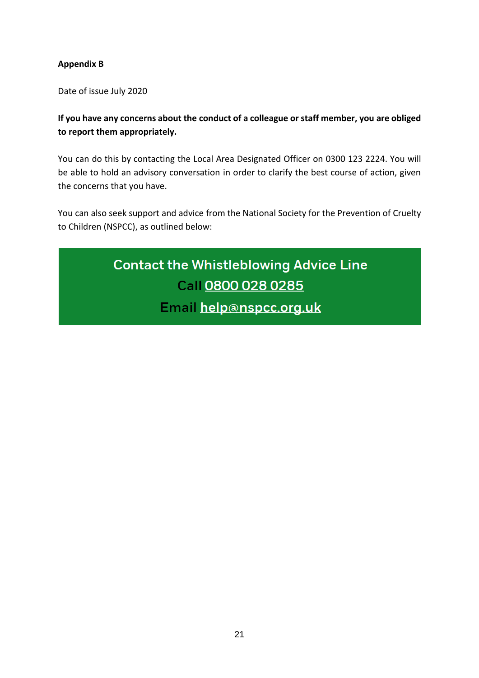#### <span id="page-20-0"></span>**Appendix B**

Date of issue July 2020

**If you have any concerns about the conduct of a colleague or staff member, you are obliged to report them appropriately.** 

You can do this by contacting the Local Area Designated Officer on 0300 123 2224. You will be able to hold an advisory conversation in order to clarify the best course of action, given the concerns that you have.

You can also seek support and advice from the National Society for the Prevention of Cruelty to Children (NSPCC), as outlined below:

# **Contact the Whistleblowing Advice Line** Call 0800 028 0285 Email help@nspcc.org.uk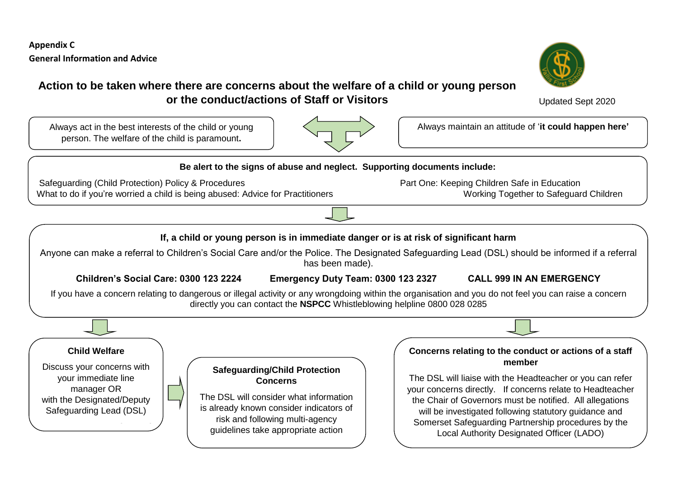**Appendix C General Information and Advice**



#### **Action to be taken where there are concerns about the welfare of a child or young person or the conduct/actions of Staff or Visitors**



person. The welfare of the child is paramount**.** 



Always act in the best interests of the child or young  $\vert \leq$  **Always maintain an attitude of 'it could happen here'** 

<span id="page-21-0"></span>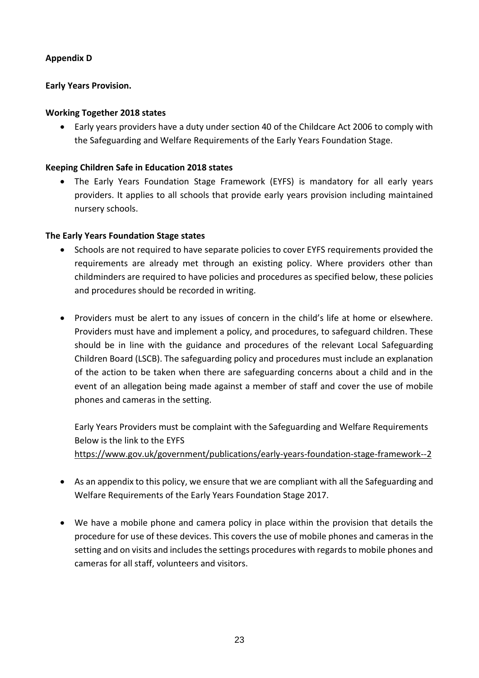#### <span id="page-22-0"></span>**Appendix D**

#### **Early Years Provision.**

#### **Working Together 2018 states**

 Early years providers have a duty under section 40 of the Childcare Act 2006 to comply with the Safeguarding and Welfare Requirements of the Early Years Foundation Stage.

#### **Keeping Children Safe in Education 2018 states**

 The Early Years Foundation Stage Framework (EYFS) is mandatory for all early years providers. It applies to all schools that provide early years provision including maintained nursery schools.

#### **The Early Years Foundation Stage states**

- Schools are not required to have separate policies to cover EYFS requirements provided the requirements are already met through an existing policy. Where providers other than childminders are required to have policies and procedures as specified below, these policies and procedures should be recorded in writing.
- Providers must be alert to any issues of concern in the child's life at home or elsewhere. Providers must have and implement a policy, and procedures, to safeguard children. These should be in line with the guidance and procedures of the relevant Local Safeguarding Children Board (LSCB). The safeguarding policy and procedures must include an explanation of the action to be taken when there are safeguarding concerns about a child and in the event of an allegation being made against a member of staff and cover the use of mobile phones and cameras in the setting.

Early Years Providers must be complaint with the Safeguarding and Welfare Requirements Below is the link to the EYFS <https://www.gov.uk/government/publications/early-years-foundation-stage-framework--2>

- As an appendix to this policy, we ensure that we are compliant with all the Safeguarding and Welfare Requirements of the Early Years Foundation Stage 2017.
- We have a mobile phone and camera policy in place within the provision that details the procedure for use of these devices. This covers the use of mobile phones and cameras in the setting and on visits and includes the settings procedures with regards to mobile phones and cameras for all staff, volunteers and visitors.